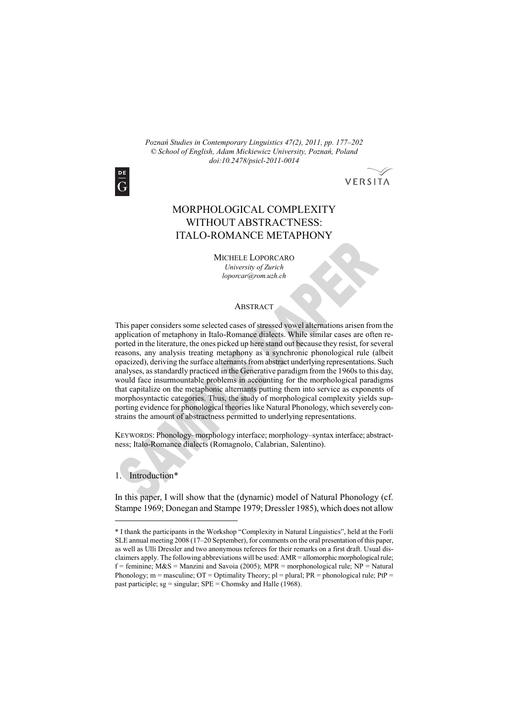*Poznań Studies in Contemporary Linguistics 47(2), 2011, pp. 177–202 © School of English, Adam Mickiewicz University, Poznań, Poland doi:10.2478/psicl-2011-0014* 



# VERSITA

# MORPHOLOGICAL COMPLEXITY WITHOUT ABSTRACTNESS: ITALO-ROMANCE METAPHONY

MICHELE LOPORCARO *University of Zurich loporcar@rom.uzh.ch* 

#### **ABSTRACT**

This paper considers some selected cases of stressed vowel alternations arisen from the application of metaphony in Italo-Romance dialects. While similar cases are often reported in the literature, the ones picked up here stand out because they resist, for several reasons, any analysis treating metaphony as a synchronic phonological rule (albeit opacized), deriving the surface alternants from abstract underlying representations. Such analyses, as standardly practiced in the Generative paradigm from the 1960s to this day, would face insurmountable problems in accounting for the morphological paradigms that capitalize on the metaphonic alternants putting them into service as exponents of morphosyntactic categories. Thus, the study of morphological complexity yields supporting evidence for phonological theories like Natural Phonology, which severely constrains the amount of abstractness permitted to underlying representations.

KEYWORDS: Phonology–morphology interface; morphology–syntax interface; abstractness; Italo-Romance dialects (Romagnolo, Calabrian, Salentino).

1. Introduction\*

 $\overline{a}$ 

In this paper, I will show that the (dynamic) model of Natural Phonology (cf. Stampe 1969; Donegan and Stampe 1979; Dressler 1985), which does not allow

<sup>\*</sup> I thank the participants in the Workshop "Complexity in Natural Linguistics", held at the Forlì SLE annual meeting 2008 (17–20 September), for comments on the oral presentation of this paper, as well as Ulli Dressler and two anonymous referees for their remarks on a first draft. Usual disclaimers apply. The following abbreviations will be used: AMR = allomorphic morphological rule;  $f =$  feminine;  $M&S =$  Manzini and Savoia (2005); MPR = morphonological rule; NP = Natural Phonology; m = masculine;  $OT = Optimality Theory$ ; pl = plural;  $PR = phonological rule$ ;  $PtP =$ past participle;  $sg =$  singular;  $SPE =$  Chomsky and Halle (1968).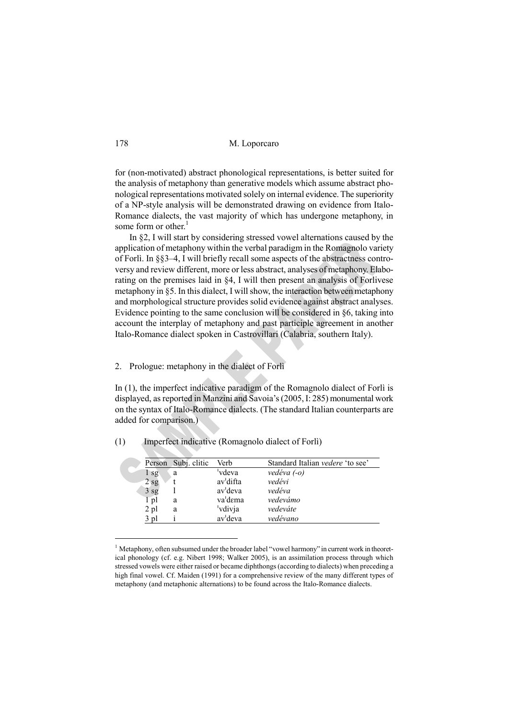for (non-motivated) abstract phonological representations, is better suited for the analysis of metaphony than generative models which assume abstract phonological representations motivated solely on internal evidence. The superiority of a NP-style analysis will be demonstrated drawing on evidence from Italo-Romance dialects, the vast majority of which has undergone metaphony, in some form or other. $<sup>1</sup>$ </sup>

In §2, I will start by considering stressed vowel alternations caused by the application of metaphony within the verbal paradigm in the Romagnolo variety of Forlì. In §§3–4, I will briefly recall some aspects of the abstractness controversy and review different, more or less abstract, analyses of metaphony. Elaborating on the premises laid in §4, I will then present an analysis of Forlivese metaphony in §5. In this dialect, I will show, the interaction between metaphony and morphological structure provides solid evidence against abstract analyses. Evidence pointing to the same conclusion will be considered in §6, taking into account the interplay of metaphony and past participle agreement in another Italo-Romance dialect spoken in Castrovillari (Calabria, southern Italy).

#### 2. Prologue: metaphony in the dialect of Forlì

In (1), the imperfect indicative paradigm of the Romagnolo dialect of Forlì is displayed, as reported in Manzini and Savoia's (2005, I: 285) monumental work on the syntax of Italo-Romance dialects. (The standard Italian counterparts are added for comparison.)

|                 | Person Subj. clitic | Verb                  | Standard Italian <i>vedere</i> 'to see' |
|-----------------|---------------------|-----------------------|-----------------------------------------|
| sg              | a                   | vdeva                 | vedéva (-o)                             |
| $2$ sg          |                     | av <sup>'</sup> difta | vedévi                                  |
| 3 <sub>sg</sub> |                     | av <sup>'</sup> deva  | vedéva                                  |
| 1 pl            | a                   | va'dema               | vedevámo                                |
| 2 pl            | a                   | 'vdivja               | vedeváte                                |
| 3 pl            |                     | av <sup>1</sup> deva  | vedévano                                |
|                 |                     |                       |                                         |

(1) Imperfect indicative (Romagnolo dialect of Forlì)

<sup>&</sup>lt;sup>1</sup> Metaphony, often subsumed under the broader label "vowel harmony" in current work in theoretical phonology (cf. e.g. Nibert 1998; Walker 2005), is an assimilation process through which stressed vowels were either raised or became diphthongs (according to dialects) when preceding a high final vowel. Cf. Maiden (1991) for a comprehensive review of the many different types of metaphony (and metaphonic alternations) to be found across the Italo-Romance dialects.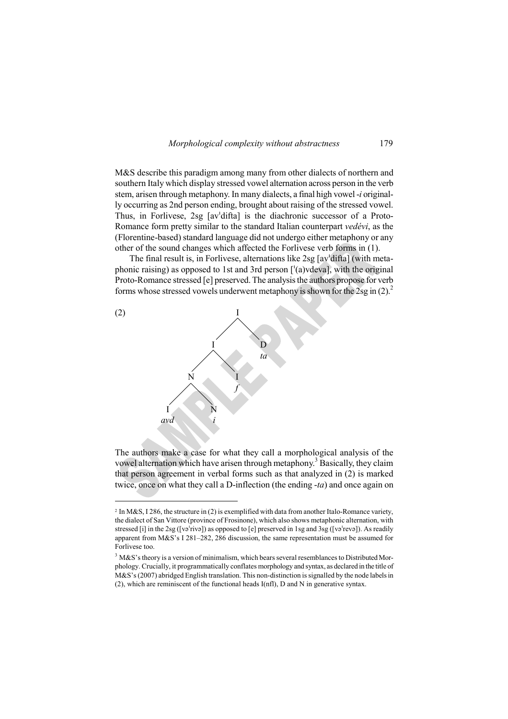

M&S describe this paradigm among many from other dialects of northern and southern Italy which display stressed vowel alternation across person in the verb stem, arisen through metaphony. In many dialects, a final high vowel -*i* originally occurring as 2nd person ending, brought about raising of the stressed vowel. Thus, in Forlivese, 2sg [avˈdifta] is the diachronic successor of a Proto-Romance form pretty similar to the standard Italian counterpart *vedévi*, as the (Florentine-based) standard language did not undergo either metaphony or any other of the sound changes which affected the Forlivese verb forms in (1).

The final result is, in Forlivese, alternations like 2sg [avˈdifta] (with metaphonic raising) as opposed to 1st and 3rd person [ˈ(a)vdeva], with the original Proto-Romance stressed [e] preserved. The analysis the authors propose for verb forms whose stressed vowels underwent metaphony is shown for the  $2sg$  in  $(2)^2$ .



 $\overline{a}$ 

The authors make a case for what they call a morphological analysis of the vowel alternation which have arisen through metaphony.<sup>3</sup> Basically, they claim that person agreement in verbal forms such as that analyzed in (2) is marked twice, once on what they call a D-inflection (the ending -*ta*) and once again on

<sup>&</sup>lt;sup>2</sup> In M&S, I 286, the structure in (2) is exemplified with data from another Italo-Romance variety, the dialect of San Vittore (province of Frosinone), which also shows metaphonic alternation, with stressed [i] in the 2sg ([vəˈrivə]) as opposed to [e] preserved in 1sg and 3sg ([vəˈrevə]). As readily apparent from M&S's I 281–282, 286 discussion, the same representation must be assumed for Forlivese too.

 $3$  M&S's theory is a version of minimalism, which bears several resemblances to Distributed Morphology. Crucially, it programmatically conflates morphology and syntax, as declared in the title of M&S's (2007) abridged English translation. This non-distinction is signalled by the node labels in (2), which are reminiscent of the functional heads I(nfl), D and N in generative syntax.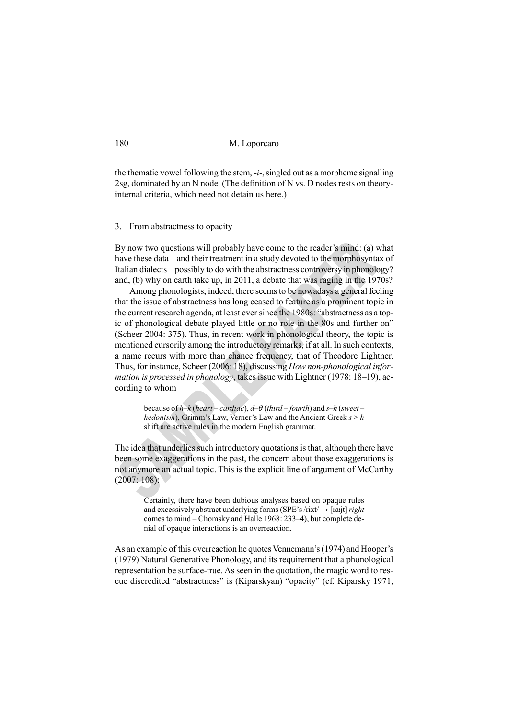the thematic vowel following the stem, -*i*-, singled out as a morpheme signalling 2sg, dominated by an N node. (The definition of N vs. D nodes rests on theoryinternal criteria, which need not detain us here.)

3. From abstractness to opacity

By now two questions will probably have come to the reader's mind: (a) what have these data – and their treatment in a study devoted to the morphosyntax of Italian dialects – possibly to do with the abstractness controversy in phonology? and, (b) why on earth take up, in 2011, a debate that was raging in the 1970s?

Among phonologists, indeed, there seems to be nowadays a general feeling that the issue of abstractness has long ceased to feature as a prominent topic in the current research agenda, at least ever since the 1980s: "abstractness as a topic of phonological debate played little or no role in the 80s and further on" (Scheer 2004: 375). Thus, in recent work in phonological theory, the topic is mentioned cursorily among the introductory remarks, if at all. In such contexts, a name recurs with more than chance frequency, that of Theodore Lightner. Thus, for instance, Scheer (2006: 18), discussing *How non-phonological information is processed in phonology*, takes issue with Lightner (1978: 18–19), according to whom

> because of *h*–*k* (*heart* – *cardiac*), *d–* (*third – fourth*) and *s–h* (*sweet – hedonism*), Grimm's Law, Verner's Law and the Ancient Greek *s* > *h*  shift are active rules in the modern English grammar.

The idea that underlies such introductory quotations is that, although there have been some exaggerations in the past, the concern about those exaggerations is not anymore an actual topic. This is the explicit line of argument of McCarthy (2007: 108):

> Certainly, there have been dubious analyses based on opaque rules and excessively abstract underlying forms (SPE's /rixt/ $\rightarrow$  [ra:jt] *right* comes to mind – Chomsky and Halle 1968: 233–4), but complete denial of opaque interactions is an overreaction.

As an example of this overreaction he quotes Vennemann's (1974) and Hooper's (1979) Natural Generative Phonology, and its requirement that a phonological representation be surface-true. As seen in the quotation, the magic word to rescue discredited "abstractness" is (Kiparskyan) "opacity" (cf. Kiparsky 1971,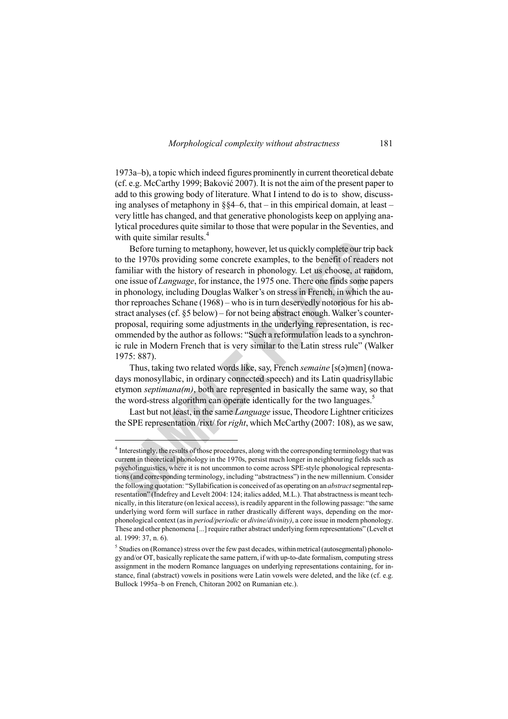1973a–b), a topic which indeed figures prominently in current theoretical debate (cf. e.g. McCarthy 1999; Baković 2007). It is not the aim of the present paper to add to this growing body of literature. What I intend to do is to show, discussing analyses of metaphony in §§4–6, that – in this empirical domain, at least – very little has changed, and that generative phonologists keep on applying analytical procedures quite similar to those that were popular in the Seventies, and with quite similar results.<sup>4</sup>

Before turning to metaphony, however, let us quickly complete our trip back to the 1970s providing some concrete examples, to the benefit of readers not familiar with the history of research in phonology. Let us choose, at random, one issue of *Language*, for instance, the 1975 one. There one finds some papers in phonology, including Douglas Walker's on stress in French, in which the author reproaches Schane (1968) – who is in turn deservedly notorious for his abstract analyses (cf. §5 below) – for not being abstract enough. Walker's counterproposal, requiring some adjustments in the underlying representation, is recommended by the author as follows: "Such a reformulation leads to a synchronic rule in Modern French that is very similar to the Latin stress rule" (Walker 1975: 887).

Thus, taking two related words like, say, French *semaine* [s(ə)mɛn] (nowadays monosyllabic, in ordinary connected speech) and its Latin quadrisyllabic etymon *septimana(m)*, both are represented in basically the same way, so that the word-stress algorithm can operate identically for the two languages.<sup>5</sup>

Last but not least, in the same *Language* issue, Theodore Lightner criticizes the SPE representation /rixt/ for *right*, which McCarthy (2007: 108), as we saw,

<sup>&</sup>lt;sup>4</sup> Interestingly, the results of those procedures, along with the corresponding terminology that was current in theoretical phonology in the 1970s, persist much longer in neighbouring fields such as psycholinguistics, where it is not uncommon to come across SPE-style phonological representations (and corresponding terminology, including "abstractness") in the new millennium. Consider the following quotation: "Syllabification is conceived of as operating on an *abstract* segmental representation" (Indefrey and Levelt 2004: 124; italics added, M.L.). That abstractness is meant technically, in this literature (on lexical access), is readily apparent in the following passage: "the same underlying word form will surface in rather drastically different ways, depending on the morphonological context (as in *period/periodic* or *divine/divinity)*, a core issue in modern phonology. These and other phenomena [...] require rather abstract underlying form representations" (Levelt et al. 1999: 37, n. 6).

<sup>&</sup>lt;sup>5</sup> Studies on (Romance) stress over the few past decades, within metrical (autosegmental) phonology and/or OT, basically replicate the same pattern, if with up-to-date formalism, computing stress assignment in the modern Romance languages on underlying representations containing, for instance, final (abstract) vowels in positions were Latin vowels were deleted, and the like (cf. e.g. Bullock 1995a–b on French, Chitoran 2002 on Rumanian etc.).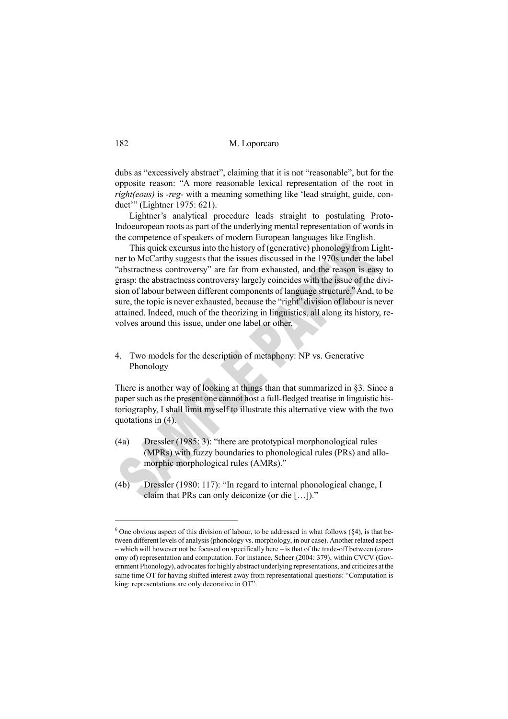dubs as "excessively abstract", claiming that it is not "reasonable", but for the opposite reason: "A more reasonable lexical representation of the root in *right(eous)* is *-reg*- with a meaning something like 'lead straight, guide, conduct'" (Lightner 1975: 621).

Lightner's analytical procedure leads straight to postulating Proto-Indoeuropean roots as part of the underlying mental representation of words in the competence of speakers of modern European languages like English.

This quick excursus into the history of (generative) phonology from Lightner to McCarthy suggests that the issues discussed in the 1970s under the label "abstractness controversy" are far from exhausted, and the reason is easy to grasp: the abstractness controversy largely coincides with the issue of the division of labour between different components of language structure.<sup>6</sup> And, to be sure, the topic is never exhausted, because the "right" division of labour is never attained. Indeed, much of the theorizing in linguistics, all along its history, revolves around this issue, under one label or other.

4. Two models for the description of metaphony: NP vs. Generative Phonology

There is another way of looking at things than that summarized in §3. Since a paper such as the present one cannot host a full-fledged treatise in linguistic historiography, I shall limit myself to illustrate this alternative view with the two quotations in (4).

- (4a) Dressler (1985: 3): "there are prototypical morphonological rules (MPRs) with fuzzy boundaries to phonological rules (PRs) and allomorphic morphological rules (AMRs)."
- (4b) Dressler (1980: 117): "In regard to internal phonological change, I claim that PRs can only deiconize (or die […])."

 $6$  One obvious aspect of this division of labour, to be addressed in what follows ( $\S 4$ ), is that between different levels of analysis (phonology vs. morphology, in our case). Another related aspect – which will however not be focused on specifically here – is that of the trade-off between (economy of) representation and computation. For instance, Scheer (2004: 379), within CVCV (Government Phonology), advocates for highly abstract underlying representations, and criticizes at the same time OT for having shifted interest away from representational questions: "Computation is king: representations are only decorative in OT".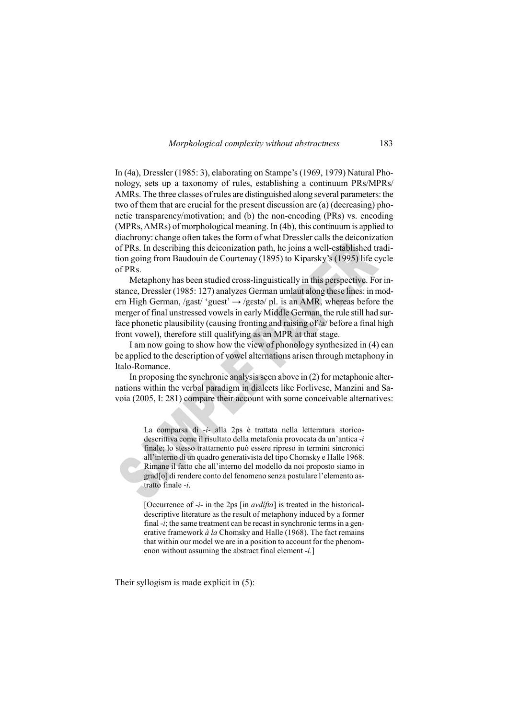In (4a), Dressler (1985: 3), elaborating on Stampe's (1969, 1979) Natural Phonology, sets up a taxonomy of rules, establishing a continuum PRs/MPRs/ AMRs. The three classes of rules are distinguished along several parameters: the two of them that are crucial for the present discussion are (a) (decreasing) phonetic transparency/motivation; and (b) the non-encoding (PRs) vs. encoding (MPRs, AMRs) of morphological meaning. In (4b), this continuum is applied to diachrony: change often takes the form of what Dressler calls the deiconization of PRs. In describing this deiconization path, he joins a well-established tradition going from Baudouin de Courtenay (1895) to Kiparsky's (1995) life cycle of PRs.

Metaphony has been studied cross-linguistically in this perspective. For instance, Dressler (1985: 127) analyzes German umlaut along these lines: in modern High German, /gast/ 'guest'  $\rightarrow$  /gestə/ pl. is an AMR, whereas before the merger of final unstressed vowels in early Middle German, the rule still had surface phonetic plausibility (causing fronting and raising of /a/ before a final high front vowel), therefore still qualifying as an MPR at that stage.

I am now going to show how the view of phonology synthesized in (4) can be applied to the description of vowel alternations arisen through metaphony in Italo-Romance.

In proposing the synchronic analysis seen above in (2) for metaphonic alternations within the verbal paradigm in dialects like Forlivese, Manzini and Savoia (2005, I: 281) compare their account with some conceivable alternatives:

> La comparsa di -*i*- alla 2ps è trattata nella letteratura storicodescrittiva come il risultato della metafonia provocata da un'antica -*i* finale; lo stesso trattamento può essere ripreso in termini sincronici all'interno di un quadro generativista del tipo Chomsky e Halle 1968. Rimane il fatto che all'interno del modello da noi proposto siamo in grad[o] di rendere conto del fenomeno senza postulare l'elemento astratto finale -*i*.

> [Occurrence of -*i*- in the 2ps [in *avdífta*] is treated in the historicaldescriptive literature as the result of metaphony induced by a former final -*i*; the same treatment can be recast in synchronic terms in a generative framework *à la* Chomsky and Halle (1968). The fact remains that within our model we are in a position to account for the phenomenon without assuming the abstract final element -*i.*]

Their syllogism is made explicit in (5):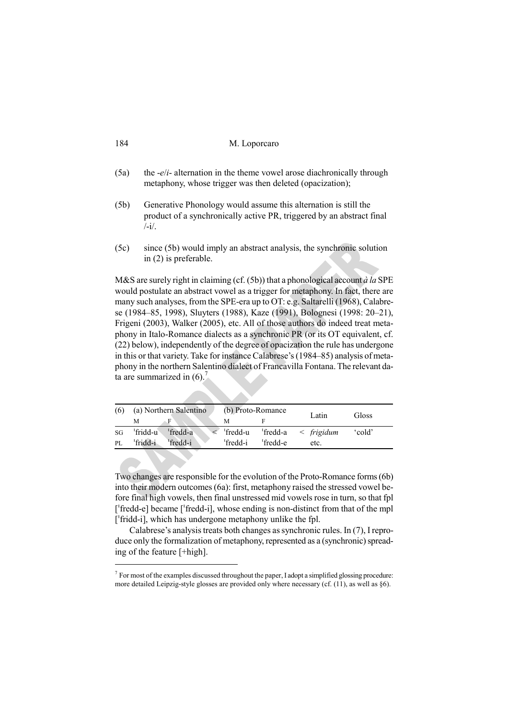| 184 | M. Loporcaro |
|-----|--------------|
|-----|--------------|

- (5a) the -*e*/*i* alternation in the theme vowel arose diachronically through metaphony, whose trigger was then deleted (opacization);
- (5b) Generative Phonology would assume this alternation is still the product of a synchronically active PR, triggered by an abstract final  $\frac{1}{\sqrt{2}}$ .
- (5c) since (5b) would imply an abstract analysis, the synchronic solution in (2) is preferable.

M&S are surely right in claiming (cf. (5b)) that a phonological account *à la* SPE would postulate an abstract vowel as a trigger for metaphony. In fact, there are many such analyses, from the SPE-era up to OT: e.g. Saltarelli (1968), Calabrese (1984–85, 1998), Sluyters (1988), Kaze (1991), Bolognesi (1998: 20–21), Frigeni (2003), Walker (2005), etc. All of those authors do indeed treat metaphony in Italo-Romance dialects as a synchronic PR (or its OT equivalent, cf. (22) below), independently of the degree of opacization the rule has undergone in this or that variety. Take for instance Calabrese's (1984–85) analysis of metaphony in the northern Salentino dialect of Francavilla Fontana. The relevant data are summarized in  $(6)$ .

| (6) |          | (a) Northern Salentino |          | (b) Proto-Romance    | Latin                                 | Gloss             |
|-----|----------|------------------------|----------|----------------------|---------------------------------------|-------------------|
|     | М        |                        | М        |                      |                                       |                   |
| SG  | 'fridd-u | 'fredd-a               | fredd-u  |                      | $\text{fredd-a} \leq \text{frigidum}$ | cold' <sub></sub> |
| PI. | 'fridd-i | <sup>1</sup> fredd-i   | 'fredd-i | <sup>'</sup> fredd-e | etc.                                  |                   |

Two changes are responsible for the evolution of the Proto-Romance forms (6b) into their modern outcomes (6a): first, metaphony raised the stressed vowel before final high vowels, then final unstressed mid vowels rose in turn, so that fpl ['fredd-e] became ['fredd-i], whose ending is non-distinct from that of the mpl ['fridd-i], which has undergone metaphony unlike the fpl.

Calabrese's analysis treats both changes as synchronic rules. In (7), I reproduce only the formalization of metaphony, represented as a (synchronic) spreading of the feature [+high].

 $7$  For most of the examples discussed throughout the paper, I adopt a simplified glossing procedure: more detailed Leipzig-style glosses are provided only where necessary (cf. (11), as well as §6).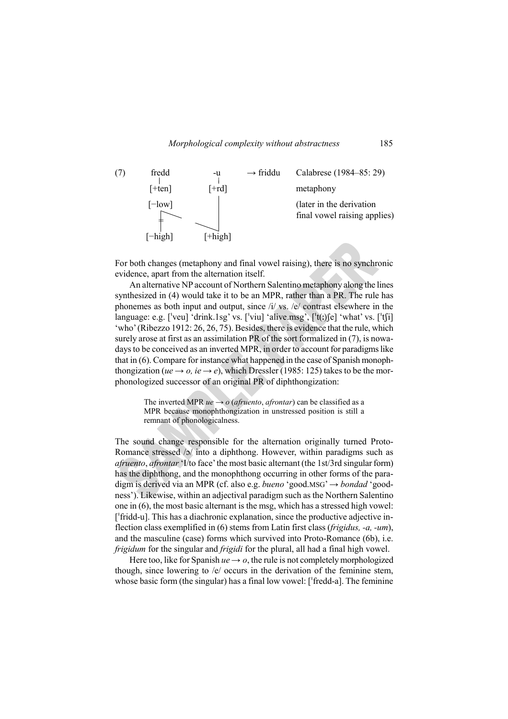



For both changes (metaphony and final vowel raising), there is no synchronic evidence, apart from the alternation itself.

An alternative NP account of Northern Salentino metaphony along the lines synthesized in (4) would take it to be an MPR, rather than a PR. The rule has phonemes as both input and output, since /i/ vs. /e/ contrast elsewhere in the language: e.g.  $\lceil \text{veu} \rceil$  'drink.1sg' vs.  $\lceil \text{veu} \rceil$  'alive.msg',  $\lceil \text{te} \rceil$  'what' vs.  $\lceil \text{te} \rceil$ 'who' (Ribezzo 1912: 26, 26, 75). Besides, there is evidence that the rule, which surely arose at first as an assimilation PR of the sort formalized in (7), is nowadays to be conceived as an inverted MPR, in order to account for paradigms like that in (6). Compare for instance what happened in the case of Spanish monophthongization ( $ue \rightarrow o$ ,  $ie \rightarrow e$ ), which Dressler (1985: 125) takes to be the morphonologized successor of an original PR of diphthongization:

> The inverted MPR  $ue \rightarrow o$  (*afruento*, *afrontar*) can be classified as a MPR because monophthongization in unstressed position is still a remnant of phonologicalness.

The sound change responsible for the alternation originally turned Proto-Romance stressed /ɔ/ into a diphthong. However, within paradigms such as *afruento*, *afrontar* 'I/to face' the most basic alternant (the 1st/3rd singular form) has the diphthong, and the monophthong occurring in other forms of the paradigm is derived via an MPR (cf. also e.g. *bueno* 'good.MSG' → *bondad* 'goodness'). Likewise, within an adjectival paradigm such as the Northern Salentino one in (6), the most basic alternant is the msg, which has a stressed high vowel: [ˈfridd-u]. This has a diachronic explanation, since the productive adjective inflection class exemplified in (6) stems from Latin first class (*frigidus, -a, -um*), and the masculine (case) forms which survived into Proto-Romance (6b), i.e. *frigidum* for the singular and *frigidi* for the plural, all had a final high vowel.

Here too, like for Spanish  $ue \rightarrow o$ , the rule is not completely morphologized though, since lowering to /e/ occurs in the derivation of the feminine stem, whose basic form (the singular) has a final low vowel: ['fredd-a]. The feminine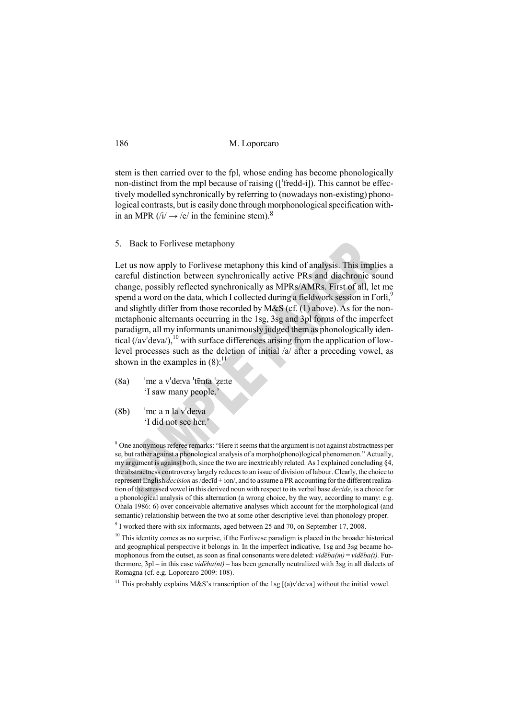stem is then carried over to the fpl, whose ending has become phonologically non-distinct from the mpl because of raising ([ˈfredd-i]). This cannot be effectively modelled synchronically by referring to (nowadays non-existing) phonological contrasts, but is easily done through morphonological specification within an MPR  $(i) \rightarrow e'$  in the feminine stem).<sup>8</sup>

5. Back to Forlivese metaphony

Let us now apply to Forlivese metaphony this kind of analysis. This implies a careful distinction between synchronically active PRs and diachronic sound change, possibly reflected synchronically as MPRs/AMRs. First of all, let me spend a word on the data, which I collected during a fieldwork session in Forlì, and slightly differ from those recorded by M&S (cf. (1) above). As for the nonmetaphonic alternants occurring in the 1sg, 3sg and 3pl forms of the imperfect paradigm, all my informants unanimously judged them as phonologically identical  $((av'deva')<sup>10</sup>)$  with surface differences arising from the application of lowlevel processes such as the deletion of initial /a/ after a preceding vowel, as shown in the examples in  $(8)$ :<sup>11</sup>

- $(8a)$  <sup>'</sup>me a v<sup>†</sup>deːva <sup>†</sup>tɐ̃nta <sup>†</sup>zeːte 'I saw many people.'
- $(8b)$  <sup>'</sup>me a n la v<sup>'</sup>deːva 'I did not see her.'

<sup>&</sup>lt;sup>8</sup> One anonymous referee remarks: "Here it seems that the argument is not against abstractness per se, but rather against a phonological analysis of a morpho(phono)logical phenomenon." Actually, my argument is against both, since the two are inextricably related. As I explained concluding §4, the abstractness controversy largely reduces to an issue of division of labour. Clearly, the choice to represent English *decision* as /decīd + ion/, and to assume a PR accounting for the different realization of the stressed vowel in this derived noun with respect to its verbal base *decide*, is a choice for a phonological analysis of this alternation (a wrong choice, by the way, according to many: e.g. Ohala 1986: 6) over conceivable alternative analyses which account for the morphological (and semantic) relationship between the two at some other descriptive level than phonology proper.

<sup>&</sup>lt;sup>9</sup> I worked there with six informants, aged between 25 and 70, on September 17, 2008.

<sup>&</sup>lt;sup>10</sup> This identity comes as no surprise, if the Forlivese paradigm is placed in the broader historical and geographical perspective it belongs in. In the imperfect indicative, 1sg and 3sg became homophonous from the outset, as soon as final consonants were deleted:  $vid\bar{e}ba(m) = vid\bar{e}ba(t)$ . Furthermore, 3pl – in this case *videba(nt)* – has been generally neutralized with 3sg in all dialects of Romagna (cf. e.g. Loporcaro 2009: 108).

<sup>&</sup>lt;sup>11</sup> This probably explains M&S's transcription of the 1sg  $[(a)v^{\dagger}$ de:va] without the initial vowel.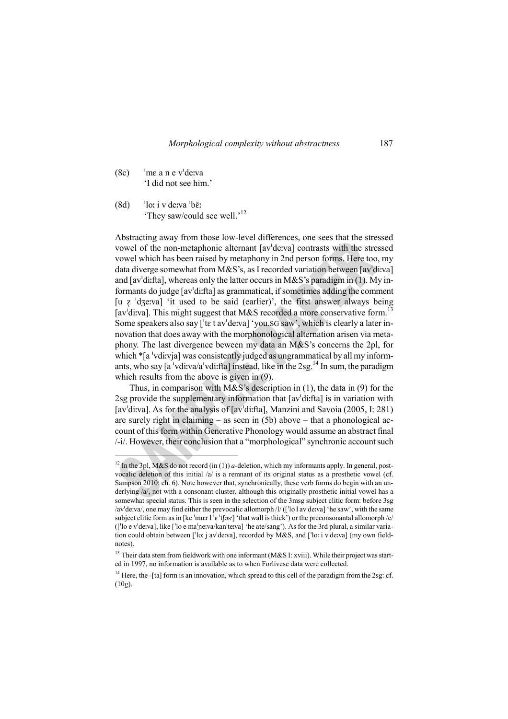$(8c)$  <sup>'</sup>me a n e v<sup>'</sup>deːva 'I did not see him.'

 $\overline{a}$ 

 $(8d)$  <sup>'</sup>loː i v<sup>'</sup>deːva <sup>'</sup>bɛ̃ː 'They saw/could see well.'<sup>12</sup>

Abstracting away from those low-level differences, one sees that the stressed vowel of the non-metaphonic alternant [avˈdeːva] contrasts with the stressed vowel which has been raised by metaphony in 2nd person forms. Here too, my data diverge somewhat from M&S's, as I recorded variation between [avˈdiːva] and [avˈdiːfta], whereas only the latter occurs in M&S's paradigm in (1). My informants do judge [avˈdiːfta] as grammatical, if sometimes adding the comment [u z 'dʒeːva] 'it used to be said (earlier)', the first answer always being [av $\frac{13}{3}$ ]. This might suggest that M&S recorded a more conservative form.<sup>13</sup> Some speakers also say <sup>['te</sup> t ay'de:va] 'you.SG saw', which is clearly a later innovation that does away with the morphonological alternation arisen via metaphony. The last divergence beween my data an M&S's concerns the 2pl, for which \*[a 'vdiːvja] was consistently judged as ungrammatical by all my informants, who say  $[a^{\dagger}$ vdiːva/a $^{\dagger}$ vdiːfta] instead, like in the 2sg.<sup>14</sup> In sum, the paradigm which results from the above is given in (9).

Thus, in comparison with M&S's description in (1), the data in (9) for the 2sg provide the supplementary information that [avˈdiːfta] is in variation with [avˈdiːva]. As for the analysis of [avˈdiːfta], Manzini and Savoia (2005, I: 281) are surely right in claiming – as seen in (5b) above – that a phonological account of this form within Generative Phonology would assume an abstract final /-i/. However, their conclusion that a "morphological" synchronic account such

<sup>&</sup>lt;sup>12</sup> In the 3pl, M&S do not record (in (1)) *a*-deletion, which my informants apply. In general, postvocalic deletion of this initial  $/a$  is a remnant of its original status as a prosthetic vowel (cf. Sampson 2010: ch. 6). Note however that, synchronically, these verb forms do begin with an underlying /a/, not with a consonant cluster, although this originally prosthetic initial vowel has a somewhat special status. This is seen in the selection of the 3msg subject clitic form: before 3sg /avˈdeːva/, one may find either the prevocalic allomorph /l/ ([ˈlo l avˈdeːva] 'he saw', with the same subject clitic form as in [ke  $\cdot$ muːr l  $\cdot$ e  $\cdot$ tf $\cdot$ s $\cdot$ ]  $\cdot$ that wall is thick') or the preconsonantal allomorph /e/ ([ˈlo e vˈdeːva], like [ˈlo e maˈɲeːva/kanˈteːva] 'he ate/sang'). As for the 3rd plural, a similar variation could obtain between [ˈloː j avˈdeːva], recorded by M&S, and [ˈloː i vˈdeːva] (my own fieldnotes).

<sup>&</sup>lt;sup>13</sup> Their data stem from fieldwork with one informant (M&S I: xviii). While their project was started in 1997, no information is available as to when Forlivese data were collected.

<sup>&</sup>lt;sup>14</sup> Here, the -[ta] form is an innovation, which spread to this cell of the paradigm from the 2sg: cf. (10g).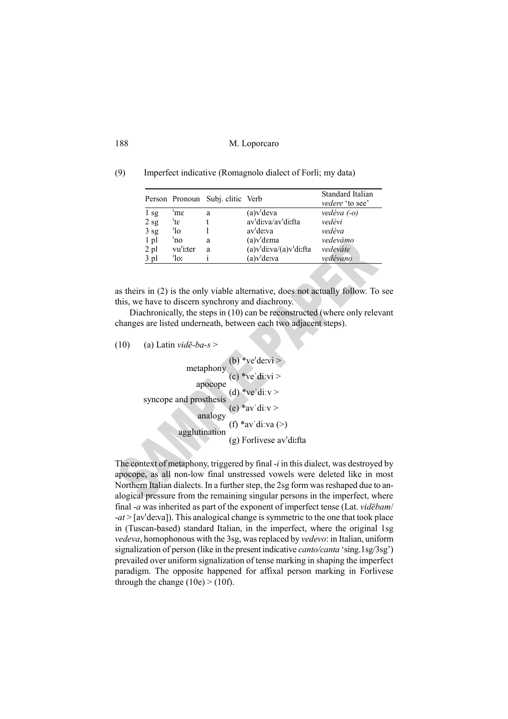(9) Imperfect indicative (Romagnolo dialect of Forlì; my data)

|                 |             | Person Pronoun Subj. clitic Verb |                          | Standard Italian<br>vedere 'to see' |
|-----------------|-------------|----------------------------------|--------------------------|-------------------------------------|
| 1 sg            | 'nε         | a                                | (a)v <sup>'</sup> deva   | vedéva $(-o)$                       |
| 2sg             | 'tε         |                                  | av'di:va/av'di:fta       | vedévi                              |
| 3 <sub>sg</sub> | 'lo         |                                  | av <sup>'</sup> de:va    | vedéva                              |
| $1$ pl          | 'no         | a                                | $(a)v1$ dema             | vedevámo                            |
| $2$ pl          | vu'i:ter    | a                                | $(a)v1divva/(a)v1divfta$ | vedeváte                            |
| $3$ pl          | $\cdot$ lo: |                                  | (a)v <sup>i</sup> de:va  | vedévano                            |
|                 |             |                                  |                          |                                     |

as theirs in (2) is the only viable alternative, does not actually follow. To see this, we have to discern synchrony and diachrony.

Diachronically, the steps in (10) can be reconstructed (where only relevant changes are listed underneath, between each two adjacent steps).

(10) (a) Latin *vidē-ba-s* >

```
(b) *ve'devi >(c) *ve\text{d}i.vi >
(d) *ve\text{div} >(e) *av'div >analogy (f) *av'di:va (>)
                    (g) Forlivese avˈdiːfta
            metaphony
             apocope
    syncope and prosthesis
             analogy
          agglutination
```
The context of metaphony, triggered by final -*i* in this dialect, was destroyed by apocope, as all non-low final unstressed vowels were deleted like in most Northern Italian dialects. In a further step, the 2sg form was reshaped due to analogical pressure from the remaining singular persons in the imperfect, where final -*a* was inherited as part of the exponent of imperfect tense (Lat. *videbam/* -*at* > [avˈdeːva]). This analogical change is symmetric to the one that took place in (Tuscan-based) standard Italian, in the imperfect, where the original 1sg *vedeva*, homophonous with the 3sg, was replaced by *vedevo*: in Italian, uniform signalization of person (like in the present indicative *canto/canta* 'sing.1sg/3sg') prevailed over uniform signalization of tense marking in shaping the imperfect paradigm. The opposite happened for affixal person marking in Forlivese through the change  $(10e)$  >  $(10f)$ .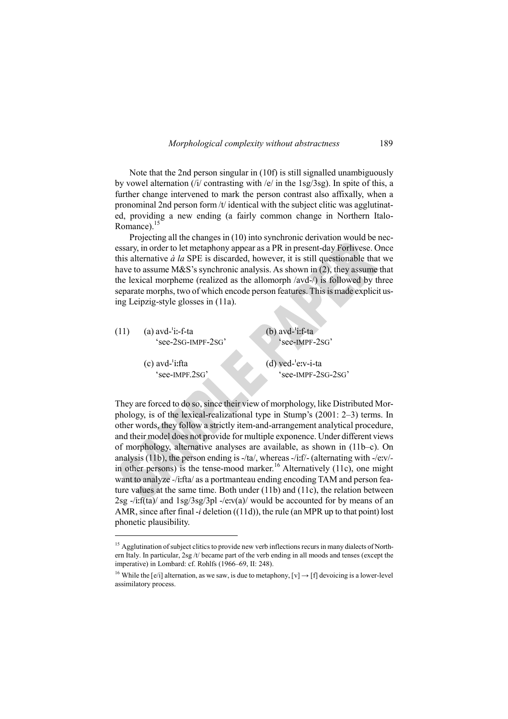Note that the 2nd person singular in (10f) is still signalled unambiguously by vowel alternation (/i/ contrasting with /e/ in the 1sg/3sg). In spite of this, a further change intervened to mark the person contrast also affixally, when a pronominal 2nd person form /t/ identical with the subject clitic was agglutinated, providing a new ending (a fairly common change in Northern Italo-Romance). $15$ 

Projecting all the changes in (10) into synchronic derivation would be necessary, in order to let metaphony appear as a PR in present-day Forlivese. Once this alternative *à la* SPE is discarded, however, it is still questionable that we have to assume M&S's synchronic analysis. As shown in (2), they assume that the lexical morpheme (realized as the allomorph /avd-/) is followed by three separate morphs, two of which encode person features. This is made explicit using Leipzig-style glosses in (11a).

| (11) | $(a)$ avd- $i$ :-f-ta<br>$see-2SG-IMPF-2SG$                          | $(b)$ avd-'i:f-ta<br>'see-IMPF-2SG'          |
|------|----------------------------------------------------------------------|----------------------------------------------|
|      | $(c)$ avd- $'$ i:fta<br>$\degree$ see-IMPF $\degree$ SG <sup>2</sup> | $(d)$ ved- $'ev-i-ta$<br>$see$ -IMPF-2SG-2SG |

They are forced to do so, since their view of morphology, like Distributed Morphology, is of the lexical-realizational type in Stump's (2001: 2–3) terms. In other words, they follow a strictly item-and-arrangement analytical procedure, and their model does not provide for multiple exponence. Under different views of morphology, alternative analyses are available, as shown in (11b–c). On analysis (11b), the person ending is -/ta/, whereas -/iːf/- (alternating with -/eːv/ in other persons) is the tense-mood marker.<sup>16</sup> Alternatively (11c), one might want to analyze *-*/iːfta/ as a portmanteau ending encoding TAM and person feature values at the same time. Both under (11b) and (11c), the relation between  $2sg$  -/iːf(ta)/ and  $1sg/3sg/3pl$  -/eːv(a)/ would be accounted for by means of an AMR, since after final -*i* deletion ((11d)), the rule (an MPR up to that point) lost phonetic plausibility.

<sup>&</sup>lt;sup>15</sup> Agglutination of subject clitics to provide new verb inflections recurs in many dialects of Northern Italy. In particular, 2sg /t/ became part of the verb ending in all moods and tenses (except the imperative) in Lombard: cf. Rohlfs (1966–69, II: 248).

<sup>&</sup>lt;sup>16</sup> While the [e/i] alternation, as we saw, is due to metaphony,  $[v] \rightarrow [f]$  devoicing is a lower-level assimilatory process.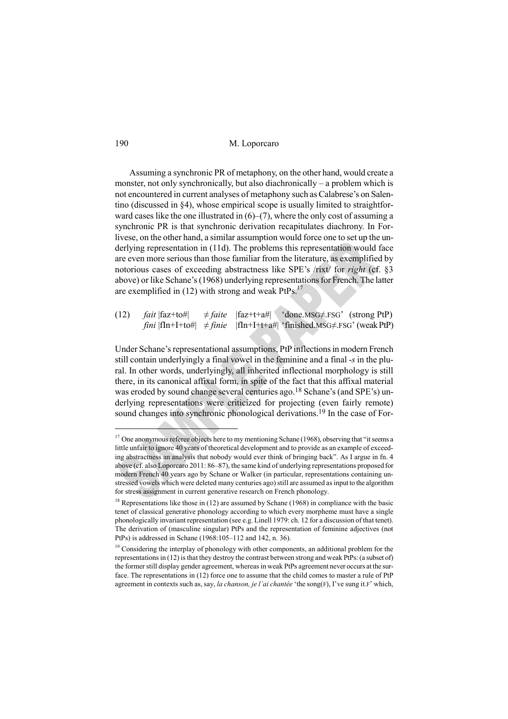Assuming a synchronic PR of metaphony, on the other hand, would create a monster, not only synchronically, but also diachronically – a problem which is not encountered in current analyses of metaphony such as Calabrese's on Salentino (discussed in §4), whose empirical scope is usually limited to straightforward cases like the one illustrated in  $(6)$ – $(7)$ , where the only cost of assuming a synchronic PR is that synchronic derivation recapitulates diachrony. In Forlivese, on the other hand, a similar assumption would force one to set up the underlying representation in (11d). The problems this representation would face are even more serious than those familiar from the literature, as exemplified by notorious cases of exceeding abstractness like SPE's /rixt/ for *right* (cf. §3 above) or like Schane's (1968) underlying representations for French. The latter are exemplified in  $(12)$  with strong and weak PtPs.<sup>17</sup>

(12) *fait*  $|faz+to\#|$   $\neq faite$   $|faz+t+a\#|$  'done.MSG $\neq$ .FSG' (strong PtP)  $fini$   $|fIn+I+to\#$   $\neq$  *finie*  $|fIn+I+t+a\#|$  'finished.MSG $\neq$ .FSG' (weak PtP)

Under Schane's representational assumptions, PtP inflections in modern French still contain underlyingly a final vowel in the feminine and a final -*s* in the plural. In other words, underlyingly, all inherited inflectional morphology is still there, in its canonical affixal form, in spite of the fact that this affixal material was eroded by sound change several centuries ago.<sup>18</sup> Schane's (and SPE's) underlying representations were criticized for projecting (even fairly remote) sound changes into synchronic phonological derivations.<sup>19</sup> In the case of For-

<sup>&</sup>lt;sup>17</sup> One anonymous referee objects here to my mentioning Schane (1968), observing that "it seems a little unfair to ignore 40 years of theoretical development and to provide as an example of exceeding abstractness an analysis that nobody would ever think of bringing back". As I argue in fn. 4 above (cf. also Loporcaro 2011: 86–87), the same kind of underlying representations proposed for modern French 40 years ago by Schane or Walker (in particular, representations containing unstressed vowels which were deleted many centuries ago) still are assumed as input to the algorithm for stress assignment in current generative research on French phonology.

 $18$  Representations like those in (12) are assumed by Schane (1968) in compliance with the basic tenet of classical generative phonology according to which every morpheme must have a single phonologically invariant representation (see e.g. Linell 1979: ch. 12 for a discussion of that tenet). The derivation of (masculine singular) PtPs and the representation of feminine adjectives (not PtPs) is addressed in Schane (1968:105–112 and 142, n. 36).

<sup>&</sup>lt;sup>19</sup> Considering the interplay of phonology with other components, an additional problem for the representations in (12) is that they destroy the contrast between strong and weak PtPs: (a subset of) the former still display gender agreement, whereas in weak PtPs agreement never occurs at the surface. The representations in (12) force one to assume that the child comes to master a rule of PtP agreement in contexts such as, say, *la chanson, je l'ai chantée* 'the song(F), I've sung it.F' which,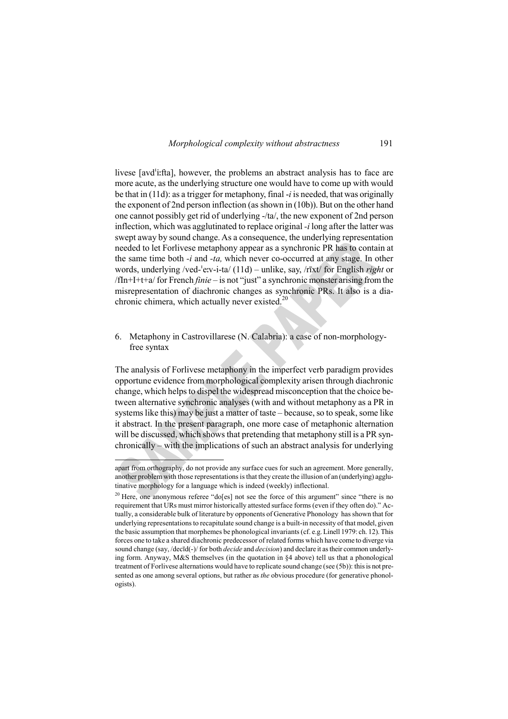livese [avdˈiːfta], however, the problems an abstract analysis has to face are more acute, as the underlying structure one would have to come up with would be that in (11d): as a trigger for metaphony, final -*i* is needed, that was originally the exponent of 2nd person inflection (as shown in (10b)). But on the other hand one cannot possibly get rid of underlying -/ta/, the new exponent of 2nd person inflection, which was agglutinated to replace original *-i* long after the latter was swept away by sound change. As a consequence, the underlying representation needed to let Forlivese metaphony appear as a synchronic PR has to contain at the same time both *-i* and *-ta,* which never co-occurred at any stage. In other words, underlying /ved-ˈeːv-i-ta/ (11d) – unlike, say, /rīxt/ for English *right* or /fIn+I+t+a/ for French *finie* – is not "just" a synchronic monster arising from the misrepresentation of diachronic changes as synchronic PRs. It also is a diachronic chimera, which actually never existed. $20$ 

## 6. Metaphony in Castrovillarese (N. Calabria): a case of non-morphologyfree syntax

The analysis of Forlivese metaphony in the imperfect verb paradigm provides opportune evidence from morphological complexity arisen through diachronic change, which helps to dispel the widespread misconception that the choice between alternative synchronic analyses (with and without metaphony as a PR in systems like this) may be just a matter of taste – because, so to speak, some like it abstract. In the present paragraph, one more case of metaphonic alternation will be discussed, which shows that pretending that metaphony still is a PR synchronically – with the implications of such an abstract analysis for underlying

apart from orthography, do not provide any surface cues for such an agreement. More generally, another problem with those representations is that they create the illusion of an (underlying) agglutinative morphology for a language which is indeed (weekly) inflectional.

 $20$  Here, one anonymous referee "do[es] not see the force of this argument" since "there is no requirement that URs must mirror historically attested surface forms (even if they often do)." Actually, a considerable bulk of literature by opponents of Generative Phonology has shown that for underlying representations to recapitulate sound change is a built-in necessity of that model, given the basic assumption that morphemes be phonological invariants (cf. e.g. Linell 1979: ch. 12). This forces one to take a shared diachronic predecessor of related forms which have come to diverge via sound change (say, /decīd(-)/ for both *decide* and *decision*) and declare it as their common underlying form. Anyway, M&S themselves (in the quotation in §4 above) tell us that a phonological treatment of Forlivese alternations would have to replicate sound change (see (5b)): this is not presented as one among several options, but rather as *the* obvious procedure (for generative phonologists).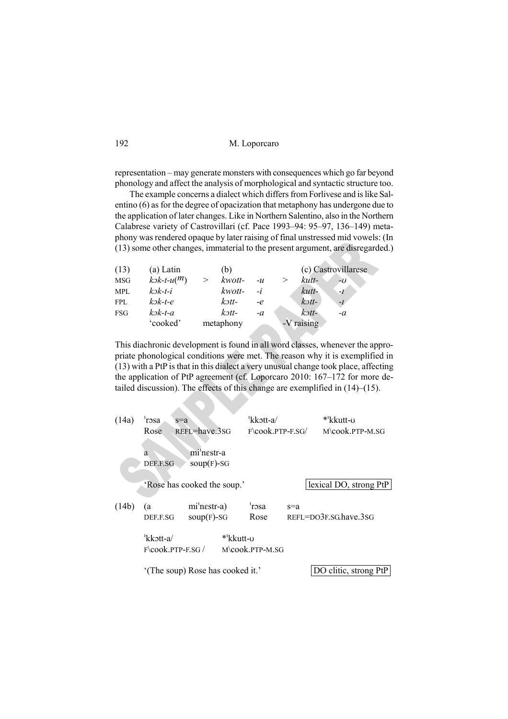| M. Loporcaro |
|--------------|
|              |

representation – may generate monsters with consequences which go far beyond phonology and affect the analysis of morphological and syntactic structure too.

The example concerns a dialect which differs from Forlivese and is like Salentino (6) as for the degree of opacization that metaphony has undergone due to the application of later changes. Like in Northern Salentino, also in the Northern Calabrese variety of Castrovillari (cf. Pace 1993–94: 95–97, 136–149) metaphony was rendered opaque by later raising of final unstressed mid vowels: (In (13) some other changes, immaterial to the present argument, are disregarded.)

| (13)       | (a) Latin                                       | (b)                               |      |            | (c) Castrovillarese |
|------------|-------------------------------------------------|-----------------------------------|------|------------|---------------------|
| <b>MSG</b> | $k$ <sub>-t</sub> - $u$ ( <sup><i>m</i></sup> ) | kwott-<br>>                       | $-u$ | kutt-<br>> | -0                  |
| <b>MPL</b> | kək-t-i                                         | kwott-                            | $-i$ | kutt-      | $-I$                |
| <b>FPL</b> | $k$ $\triangleright$ k-t-e                      | $k$ $\mathcal{I}$ t $\mathcal{I}$ | $-e$ | $k$ ott-   | $-I$                |
| FSG        | $k$ $\partial k$ -t-a                           | $k$ $\mathfrak{D}$ tt-            | $-a$ | kətt-      | $-a$                |
|            | 'cooked'                                        | metaphony                         |      | -V raising |                     |

This diachronic development is found in all word classes, whenever the appropriate phonological conditions were met. The reason why it is exemplified in (13) with a PtP is that in this dialect a very unusual change took place, affecting the application of PtP agreement (cf. Loporcaro 2010: 167–172 for more detailed discussion). The effects of this change are exemplified in (14)–(15).

| (14a) | 'rɔsa<br>$s=a$<br>REFL=have.3SG<br>Rose              |                                 |  | 'kkott-a/<br>$F\$ {cook PTP-F SG} |       | *'kkutt-v<br>$M$ cook PTP-M SG |  |
|-------|------------------------------------------------------|---------------------------------|--|-----------------------------------|-------|--------------------------------|--|
|       | mi'nestr-a<br>a<br>$soup(F)-SG$<br>DEF.F.SG          |                                 |  |                                   |       |                                |  |
|       | 'Rose has cooked the soup.'                          |                                 |  |                                   |       | lexical DO, strong PtP         |  |
| (14b) | (a<br>DEF.F.SG                                       | $mi'$ nestr-a)<br>$soup(F)-SG$  |  | 'rosa<br>Rose                     | $s=a$ | $REFI=DO3F.SG$ have 3sG        |  |
|       | $'$ kkott-a $/$<br>*'kkutt-o<br>$F\$ COOK PTP-F.SG / |                                 |  | M\cook.PTP-M.SG                   |       |                                |  |
|       |                                                      | (The soup) Rose has cooked it.' |  |                                   |       | DO clitic, strong PtP          |  |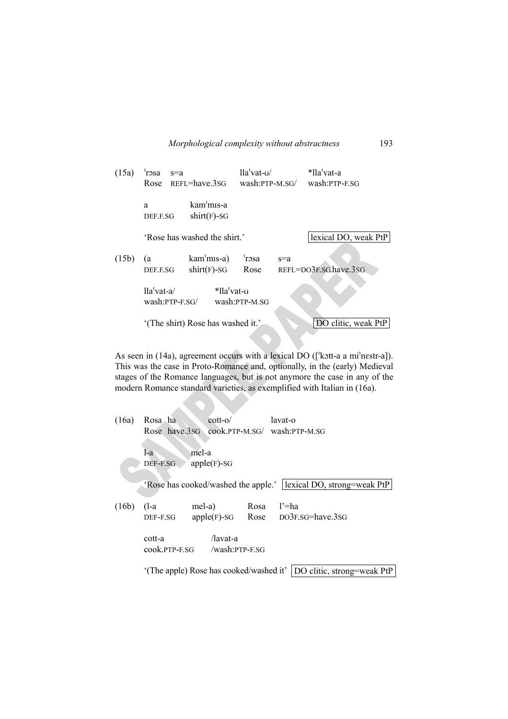| (15a) | 'rɔsa<br>Rose                     | $s=a$<br>REFL=have.3SG                  | $lla'$ vat- $u/$<br>wash:PTP-M.SG/ |       | *lla <sup>'</sup> vat-a<br>wash:PTP-E.SG |
|-------|-----------------------------------|-----------------------------------------|------------------------------------|-------|------------------------------------------|
|       | a<br>DEF.F.SG                     | kam <sup>'</sup> mis-a<br>$shirt(F)-SG$ |                                    |       |                                          |
|       |                                   | 'Rose has washed the shirt'             |                                    |       | lexical DO, weak PtP                     |
| (15b) | (a<br>DEF.F.SG                    | kam'mis-a)<br>$shirt(F)-SG$             | 'rosa<br>Rose                      | $s=a$ | REFL=DO3F.SG.have.3SG                    |
|       | $lla'$ vat-a/<br>$wash:PTP-F.SG/$ | *lla vat-v                              | wash:PTP-M.SG                      |       |                                          |
|       |                                   | '(The shirt) Rose has washed it.'       |                                    |       | DO clitic, weak PtP                      |

As seen in (14a), agreement occurs with a lexical DO ([ˈkɔtt-a a miˈnɛstr-a]). This was the case in Proto-Romance and, optionally, in the (early) Medieval stages of the Romance languages, but is not anymore the case in any of the modern Romance standard varieties, as exemplified with Italian in (16a).

 $\lambda$ 

| (16a) | Rosa ha             | $\cot t - \omega$                                                     |              | lavat-o<br>Rose have.3sG cook.PTP-M.SG/ wash:PTP-M.SG             |  |  |  |
|-------|---------------------|-----------------------------------------------------------------------|--------------|-------------------------------------------------------------------|--|--|--|
|       | l-a<br>DEF-F.SG     | mel-a<br>$apple(F)-SG$                                                |              | 'Rose has cooked/washed the apple.'   lexical DO, strong=weak PtP |  |  |  |
| (16b) | $(l-a)$<br>DEF-F.SG | mel-a)<br>$apple(F)-SG$                                               | Rosa<br>Rose | $l' = ha$<br>DO3F.SG=have.3SG                                     |  |  |  |
|       | cott-a              | /lavat-a<br>cook.PTP-F.SG /wash:PTP-F.SG                              |              |                                                                   |  |  |  |
|       |                     | '(The apple) Rose has cooked/washed it'<br>DO clitic, strong=weak PtP |              |                                                                   |  |  |  |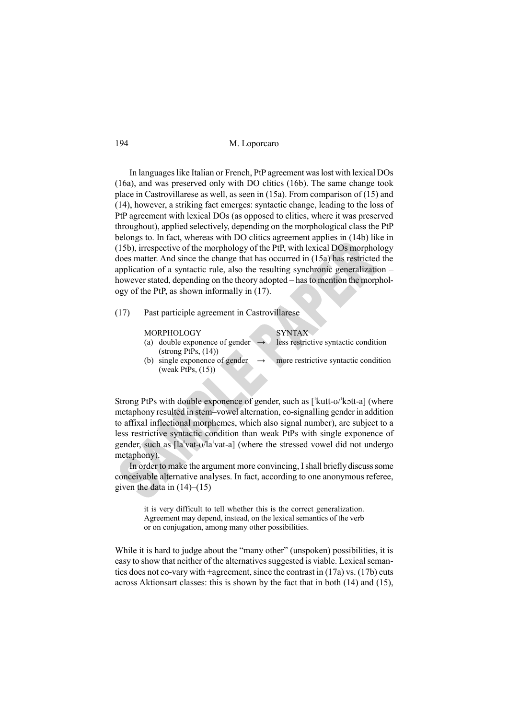In languages like Italian or French, PtP agreement was lost with lexical DOs (16a), and was preserved only with DO clitics (16b). The same change took place in Castrovillarese as well, as seen in (15a). From comparison of (15) and (14), however, a striking fact emerges: syntactic change, leading to the loss of PtP agreement with lexical DOs (as opposed to clitics, where it was preserved throughout), applied selectively, depending on the morphological class the PtP belongs to. In fact, whereas with DO clitics agreement applies in (14b) like in (15b), irrespective of the morphology of the PtP, with lexical DOs morphology does matter. And since the change that has occurred in (15a) has restricted the application of a syntactic rule, also the resulting synchronic generalization – however stated, depending on the theory adopted – has to mention the morphology of the PtP, as shown informally in (17).

(17) Past participle agreement in Castrovillarese

MORPHOLOGY SYNTAX

- (a) double exponence of gender  $(strong PtPs, (14))$ less restrictive syntactic condition
- (b) single exponence of gender (weak PtPs, (15)) more restrictive syntactic condition

Strong PtPs with double exponence of gender, such as [ˈkutt-ʊ/ˈkɔtt-a] (where metaphony resulted in stem–vowel alternation, co-signalling gender in addition to affixal inflectional morphemes, which also signal number), are subject to a less restrictive syntactic condition than weak PtPs with single exponence of gender, such as [laˈvat-ʊ/laˈvat-a] (where the stressed vowel did not undergo metaphony).

In order to make the argument more convincing, I shall briefly discuss some conceivable alternative analyses. In fact, according to one anonymous referee, given the data in  $(14)$ – $(15)$ 

> it is very difficult to tell whether this is the correct generalization. Agreement may depend, instead, on the lexical semantics of the verb or on conjugation, among many other possibilities.

While it is hard to judge about the "many other" (unspoken) possibilities, it is easy to show that neither of the alternatives suggested is viable. Lexical semantics does not co-vary with  $\pm$ agreement, since the contrast in (17a) vs. (17b) cuts across Aktionsart classes: this is shown by the fact that in both (14) and (15),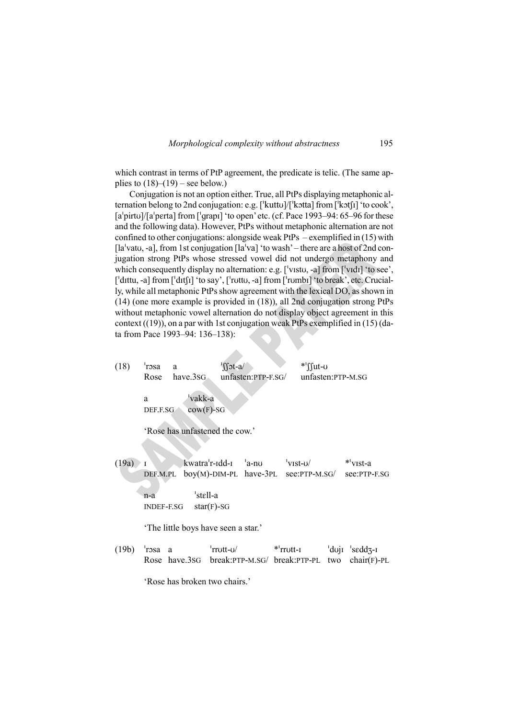which contrast in terms of PtP agreement, the predicate is telic. (The same applies to  $(18)$ – $(19)$  – see below.)

Conjugation is not an option either. True, all PtPs displaying metaphonic alternation belong to 2nd conjugation: e.g. [ˈkuttʊ]/[ˈkɔtta] from [ˈkɔtʃɪ] 'to cook', [a<sup>l</sup>pirtu]/[a<sup>l</sup>perta] from [<sup>l</sup>grapɪ] 'to open' etc. (cf. Pace 1993–94: 65–96 for these and the following data). However, PtPs without metaphonic alternation are not confined to other conjugations: alongside weak PtPs – exemplified in (15) with [la<sup>1</sup>vatu, -a], from 1st conjugation [la<sup>1</sup>va] 'to wash' – there are a host of 2nd conjugation strong PtPs whose stressed vowel did not undergo metaphony and which consequently display no alternation: e.g. ['vɪstʊ, -a] from ['vɪdɪ] 'to see', [ˈdɪttu, -a] from [ˈdɪtʃɪ] 'to say', [ˈrʊttʊ, -a] from [ˈrʊmbɪ] 'to break', etc. Crucially, while all metaphonic PtPs show agreement with the lexical DO, as shown in (14) (one more example is provided in (18)), all 2nd conjugation strong PtPs without metaphonic vowel alternation do not display object agreement in this context  $((19))$ , on a par with 1st conjugation weak PtPs exemplified in  $(15)$  (data from Pace 1993–94: 136–138):

(18)  $\text{``r}_\text{cosa}$  a  $\text{``f}_\text{int-a}$  \*' $\text{f}_\text{int-a}$ Rose have.3SG unfasten:PTP-F.SG/ unfasten:PTP-M.SG

> a <sup>'</sup>vakk-a DEF.F.SG cow(F)-SG

'Rose has unfastened the cow.'

 $(19a)$  I kwatra<sup>'</sup>r-Idd-I  $a$ -nu  $\vee$ Ist-u/  $\vee$ <sup>1</sup>vist-a DEF.M.PL boy(M)-DIM-PL have-3PL see:PTP-M.SG/ see:PTP-F.SG

> n-a <sup>'stell-a</sup> INDEF-F.SG star(F)-SG

'The little boys have seen a star.'

 $(19b)$   $\frac{1}{2}$ rosa a  $\frac{1}{2}$ rrott- $\frac{1}{2}$  \* $\frac{1}{2}$ rrott- $\frac{1}{2}$   $\frac{1}{2}$   $\frac{1}{2}$   $\frac{1}{2}$   $\frac{1}{2}$   $\frac{1}{2}$   $\frac{1}{2}$   $\frac{1}{2}$   $\frac{1}{2}$   $\frac{1}{2}$   $\frac{1}{2}$   $\frac{1}{2}$   $\frac{1}{2}$   $\frac{1}{2}$   $\frac{1}{2}$   $\frac{1}{$ Rose have.3SG break:PTP-M.SG/ break:PTP-PL two chair(F)-PL

'Rose has broken two chairs.'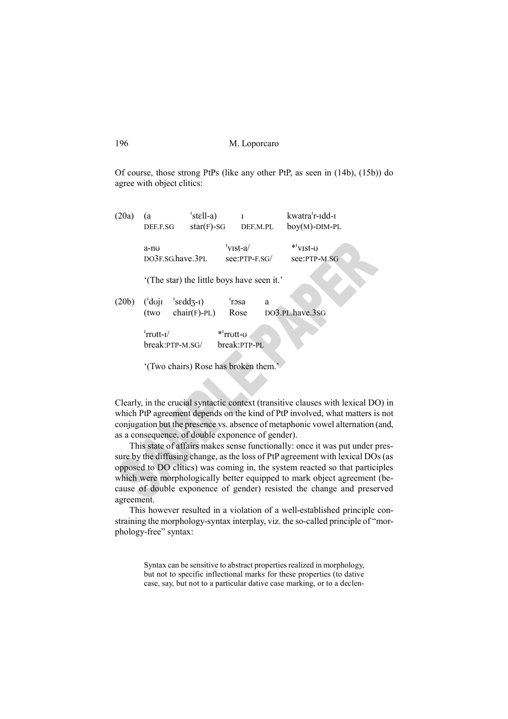Of course, those strong PtPs (like any other PtP, as seen in (14b), (15b)) do agree with object clitics:

| (20a) | (a<br>DEF.F.SG                                                 | 'stell-a)<br>$star(F)$ -SG                         |               | T<br>DEF.M.PL   |   | kwatra'r-idd-i<br>$boy(M)-DIM-PL$               |  |
|-------|----------------------------------------------------------------|----------------------------------------------------|---------------|-----------------|---|-------------------------------------------------|--|
|       | a-no<br>DO3F.SG.have.3PL                                       |                                                    | 'vist-a/      | $see:PTP-F.SG/$ |   | $*$ <sup>'</sup> vist- $\sigma$<br>see:PTP-M.SG |  |
|       | '(The star) the little boys have seen it.'                     |                                                    |               |                 |   |                                                 |  |
| (20b) | $d\sigma$<br>(two                                              | 's $\text{edd}$ <sub>3</sub> -I)<br>$chair(F)-PL)$ | 'rosa<br>Rose |                 | a | DO3.PL.have.3SG                                 |  |
|       | $'$ rrott- $I$<br>*'rrott-o<br>break:PTP-PL<br>break:PTP-M.SG/ |                                                    |               |                 |   |                                                 |  |
|       | '(Two chairs) Rose has broken them.'                           |                                                    |               |                 |   |                                                 |  |

Clearly, in the crucial syntactic context (transitive clauses with lexical DO) in which PtP agreement depends on the kind of PtP involved, what matters is not conjugation but the presence vs. absence of metaphonic vowel alternation (and, as a consequence, of double exponence of gender).

This state of affairs makes sense functionally: once it was put under pressure by the diffusing change, as the loss of PtP agreement with lexical DOs (as opposed to DO clitics) was coming in, the system reacted so that participles which were morphologically better equipped to mark object agreement (because of double exponence of gender) resisted the change and preserved agreement.

This however resulted in a violation of a well-established principle constraining the morphology-syntax interplay, viz. the so-called principle of "morphology-free" syntax:

> Syntax can be sensitive to abstract properties realized in morphology, but not to specific inflectional marks for these properties (to dative case, say, but not to a particular dative case marking, or to a declen-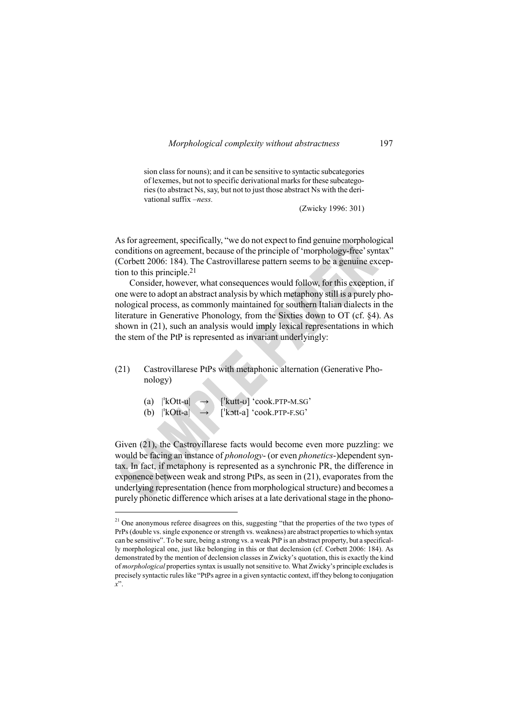sion class for nouns); and it can be sensitive to syntactic subcategories of lexemes, but not to specific derivational marks for these subcategories (to abstract Ns, say, but not to just those abstract Ns with the derivational suffix *–ness.* 

(Zwicky 1996: 301)

As for agreement, specifically, "we do not expect to find genuine morphological conditions on agreement, because of the principle of 'morphology-free' syntax" (Corbett 2006: 184). The Castrovillarese pattern seems to be a genuine exception to this principle.<sup>21</sup>

Consider, however, what consequences would follow, for this exception, if one were to adopt an abstract analysis by which metaphony still is a purely phonological process, as commonly maintained for southern Italian dialects in the literature in Generative Phonology, from the Sixties down to OT (cf. §4). As shown in (21), such an analysis would imply lexical representations in which the stem of the PtP is represented as invariant underlyingly:

# (21) Castrovillarese PtPs with metaphonic alternation (Generative Phonology)

| (a) $ kOut-u $ | $\rightarrow$ | ['kutt-v] 'cook.PTP-M.SG' |
|----------------|---------------|---------------------------|
| (b) $ kOtt-a $ | $\rightarrow$ | ['kott-a] 'cook.PTP-F.SG' |

 $\overline{a}$ 

Given (21), the Castrovillarese facts would become even more puzzling: we would be facing an instance of *phonology*- (or even *phonetics*-)dependent syntax. In fact, if metaphony is represented as a synchronic PR, the difference in exponence between weak and strong PtPs, as seen in (21), evaporates from the underlying representation (hence from morphological structure) and becomes a purely phonetic difference which arises at a late derivational stage in the phono-

<sup>&</sup>lt;sup>21</sup> One anonymous referee disagrees on this, suggesting "that the properties of the two types of PrPs (double vs. single exponence or strength vs. weakness) are abstract properties to which syntax can be sensitive". To be sure, being a strong vs. a weak PtP is an abstract property, but a specifically morphological one, just like belonging in this or that declension (cf. Corbett 2006: 184). As demonstrated by the mention of declension classes in Zwicky's quotation, this is exactly the kind of *morphological* properties syntax is usually not sensitive to. What Zwicky's principle excludes is precisely syntactic rules like "PtPs agree in a given syntactic context, iff they belong to conjugation *x*".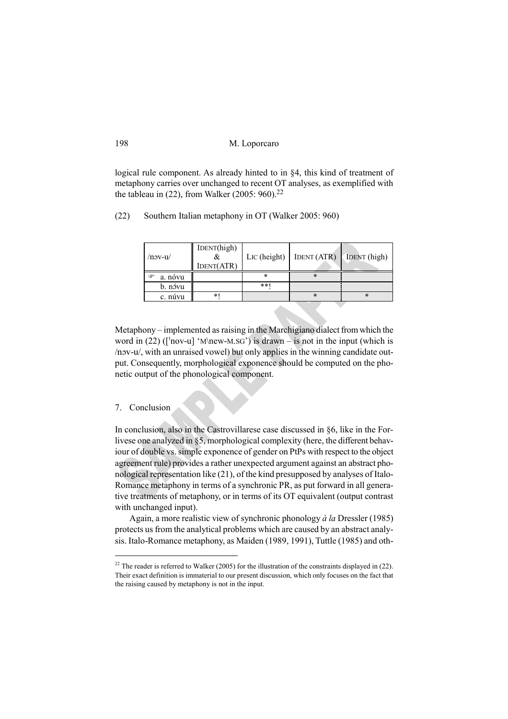| M. Loporcaro |
|--------------|
|              |

logical rule component. As already hinted to in §4, this kind of treatment of metaphony carries over unchanged to recent OT analyses, as exemplified with the tableau in  $(22)$ , from Walker  $(2005: 960).^{22}$ 

(22) Southern Italian metaphony in OT (Walker 2005: 960)

| $/$ nov-u $/$ | IDENT(high)<br>IDENT(ATR) | L <sub>IC</sub> (height) | IDENT (ATR) | IDENT (high) |
|---------------|---------------------------|--------------------------|-------------|--------------|
| a. nóvu<br>œ  |                           | *                        | *           |              |
| b. nóvu       |                           | **                       |             |              |
| c. núvu       | *1                        |                          | *           | *            |
|               |                           |                          |             |              |

Metaphony – implemented as raising in the Marchigiano dialect from which the word in  $(22)$  ([ $'nov-u$ ] 'M\new-M.SG') is drawn – is not in the input (which is /nɔv-u/, with an unraised vowel) but only applies in the winning candidate output. Consequently, morphological exponence should be computed on the phonetic output of the phonological component.

#### 7. Conclusion

 $\overline{a}$ 

In conclusion, also in the Castrovillarese case discussed in §6, like in the Forlivese one analyzed in §5, morphological complexity (here, the different behaviour of double vs. simple exponence of gender on PtPs with respect to the object agreement rule) provides a rather unexpected argument against an abstract phonological representation like (21), of the kind presupposed by analyses of Italo-Romance metaphony in terms of a synchronic PR, as put forward in all generative treatments of metaphony, or in terms of its OT equivalent (output contrast with unchanged input).

Again, a more realistic view of synchronic phonology *à la* Dressler (1985) protects us from the analytical problems which are caused by an abstract analysis. Italo-Romance metaphony, as Maiden (1989, 1991), Tuttle (1985) and oth-

 $22$  The reader is referred to Walker (2005) for the illustration of the constraints displayed in (22). Their exact definition is immaterial to our present discussion, which only focuses on the fact that the raising caused by metaphony is not in the input.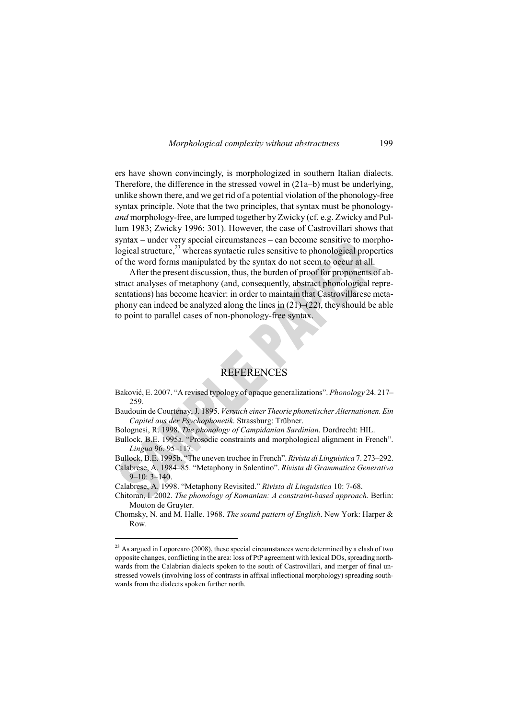ers have shown convincingly, is morphologized in southern Italian dialects. Therefore, the difference in the stressed vowel in (21a–b) must be underlying, unlike shown there, and we get rid of a potential violation of the phonology-free syntax principle. Note that the two principles, that syntax must be phonology*and* morphology-free, are lumped together by Zwicky (cf. e.g. Zwicky and Pullum 1983; Zwicky 1996: 301). However, the case of Castrovillari shows that syntax – under very special circumstances – can become sensitive to morphological structure, $^{23}$  whereas syntactic rules sensitive to phonological properties of the word forms manipulated by the syntax do not seem to occur at all.

After the present discussion, thus, the burden of proof for proponents of abstract analyses of metaphony (and, consequently, abstract phonological representations) has become heavier: in order to maintain that Castrovillarese metaphony can indeed be analyzed along the lines in  $(21)–(22)$ , they should be able to point to parallel cases of non-phonology-free syntax.

# REFERENCES

Baković, E. 2007. "A revised typology of opaque generalizations". *Phonology* 24. 217– 259.

Baudouin de Courtenay, J. 1895. *Versuch einer Theorie phonetischer Alternationen. Ein Capitel aus der Psychophonetik*. Strassburg: Trübner.

Bolognesi, R. 1998. *The phonology of Campidanian Sardinian*. Dordrecht: HIL.

Bullock, B.E. 1995a. "Prosodic constraints and morphological alignment in French". *Lingua* 96. 95–117.

Bullock, B.E. 1995b. "The uneven trochee in French". *Rivista di Linguistica* 7. 273–292.

Calabrese, A. 1984–85. "Metaphony in Salentino". *Rivista di Grammatica Generativa*  $9-10: 3-140.$ 

Calabrese, A. 1998. "Metaphony Revisited." *Rivista di Linguistica* 10: 7-68.

 $\overline{a}$ 

Chitoran, I. 2002. *The phonology of Romanian: A constraint-based approach*. Berlin: Mouton de Gruyter.

Chomsky, N. and M. Halle. 1968. *The sound pattern of English*. New York: Harper & Row.

<sup>&</sup>lt;sup>23</sup> As argued in Loporcaro (2008), these special circumstances were determined by a clash of two opposite changes, conflicting in the area: loss of PtP agreement with lexical DOs, spreading northwards from the Calabrian dialects spoken to the south of Castrovillari, and merger of final unstressed vowels (involving loss of contrasts in affixal inflectional morphology) spreading southwards from the dialects spoken further north.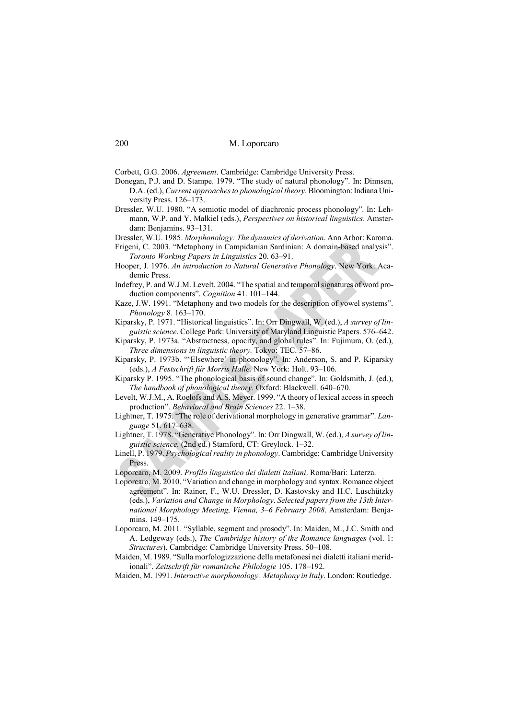Corbett, G.G. 2006. *Agreement*. Cambridge: Cambridge University Press.

- Donegan, P.J. and D. Stampe. 1979. "The study of natural phonology". In: Dinnsen, D.A. (ed.), *Current approaches to phonological theory.* Bloomington: Indiana University Press. 126–173.
- Dressler, W.U. 1980. "A semiotic model of diachronic process phonology". In: Lehmann, W.P. and Y. Malkiel (eds.), *Perspectives on historical linguistics*. Amsterdam: Benjamins. 93–131.

Dressler, W.U. 1985. *Morphonology: The dynamics of derivation*. Ann Arbor: Karoma.

- Frigeni, C. 2003. "Metaphony in Campidanian Sardinian: A domain-based analysis". *Toronto Working Papers in Linguistics* 20. 63–91.
- Hooper, J. 1976. *An introduction to Natural Generative Phonology*. New York: Academic Press.
- Indefrey, P. and W.J.M. Levelt. 2004. "The spatial and temporal signatures of word production components". *Cognition* 41. 101–144.
- Kaze, J.W. 1991. "Metaphony and two models for the description of vowel systems". *Phonology* 8. 163–170.
- Kiparsky, P. 1971. "Historical linguistics". In: Orr Dingwall, W. (ed.), *A survey of linguistic science*. College Park: University of Maryland Linguistic Papers. 576–642.
- Kiparsky, P. 1973a. "Abstractness, opacity, and global rules". In: Fujimura, O. (ed.), *Three dimensions in linguistic theory.* Tokyo: TEC. 57–86.
- Kiparsky, P. 1973b. "'Elsewhere' in phonology". In: Anderson, S. and P. Kiparsky (eds.), *A Festschrift für Morris Halle.* New York: Holt. 93–106.
- Kiparsky P. 1995. "The phonological basis of sound change". In: Goldsmith, J. (ed.), *The handbook of phonological theory*. Oxford: Blackwell. 640–670.
- Levelt, W.J.M., A. Roelofs and A.S. Meyer. 1999. "A theory of lexical access in speech production". *Behavioral and Brain Sciences* 22. 1–38.
- Lightner, T. 1975. "The role of derivational morphology in generative grammar". *Language* 51. 617–638.
- Lightner, T. 1978. "Generative Phonology". In: Orr Dingwall, W. (ed.), *A survey of linguistic science.* (2nd ed.) Stamford, CT: Greylock. 1–32.
- Linell, P. 1979. *Psychological reality in phonology*. Cambridge: Cambridge University Press.
- Loporcaro, M. 2009. *Profilo linguistico dei dialetti italiani*. Roma/Bari: Laterza.
- Loporcaro, M. 2010. "Variation and change in morphology and syntax. Romance object agreement". In: Rainer, F., W.U. Dressler, D. Kastovsky and H.C. Luschützky (eds.), *Variation and Change in Morphology*. *Selected papers from the 13th International Morphology Meeting, Vienna, 3–6 February 2008*. Amsterdam: Benjamins. 149–175.
- Loporcaro, M. 2011. "Syllable, segment and prosody". In: Maiden, M., J.C. Smith and A. Ledgeway (eds.), *The Cambridge history of the Romance languages* (vol. 1: *Structures*). Cambridge: Cambridge University Press. 50–108.
- Maiden, M. 1989. "Sulla morfologizzazione della metafonesi nei dialetti italiani meridionali". *Zeitschrift für romanische Philologie* 105. 178–192.

Maiden, M. 1991. *Interactive morphonology: Metaphony in Italy*. London: Routledge.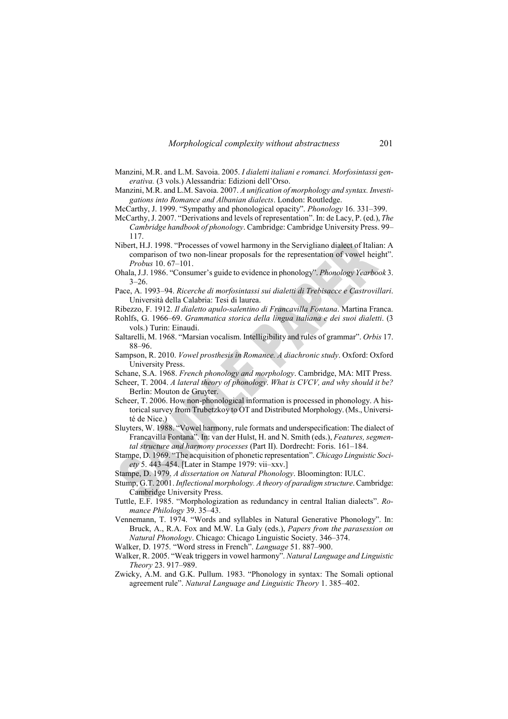- Manzini, M.R. and L.M. Savoia. 2005. *I dialetti italiani e romanci. Morfosintassi generativa.* (3 vols.) Alessandria: Edizioni dell'Orso.
- Manzini, M.R. and L.M. Savoia. 2007. *A unification of morphology and syntax. Investigations into Romance and Albanian dialects*. London: Routledge.
- McCarthy, J. 1999. "Sympathy and phonological opacity". *Phonology* 16. 331–399.
- McCarthy, J. 2007. "Derivations and levels of representation". In: de Lacy, P. (ed.), *The Cambridge handbook of phonology*. Cambridge: Cambridge University Press. 99– 117.
- Nibert, H.J. 1998. "Processes of vowel harmony in the Servigliano dialect of Italian: A comparison of two non-linear proposals for the representation of vowel height". *Probus* 10. 67–101.
- Ohala, J.J. 1986. "Consumer's guide to evidence in phonology". *Phonology Yearbook* 3.  $3 - 26$ .
- Pace, A. 1993–94. *Ricerche di morfosintassi sui dialetti di Trebisacce e Castrovillari*. Università della Calabria: Tesi di laurea.
- Ribezzo, F. 1912. *Il dialetto apulo-salentino di Francavilla Fontana*. Martina Franca. Rohlfs, G. 1966–69. *Grammatica storica della lingua italiana e dei suoi dialetti*. (3
- vols.) Turin: Einaudi. Saltarelli, M. 1968. "Marsian vocalism. Intelligibility and rules of grammar". *Orbis* 17.
- 88–96.
- Sampson, R. 2010. *Vowel prosthesis in Romance. A diachronic study*. Oxford: Oxford University Press.

Schane, S.A. 1968. *French phonology and morphology*. Cambridge, MA: MIT Press.

- Scheer, T. 2004. *A lateral theory of phonology*. *What is CVCV, and why should it be?* Berlin: Mouton de Gruyter.
- Scheer, T. 2006. How non-phonological information is processed in phonology. A historical survey from Trubetzkoy to OT and Distributed Morphology. (Ms., Université de Nice.)
- Sluyters, W. 1988. "Vowel harmony, rule formats and underspecification: The dialect of Francavilla Fontana". In: van der Hulst, H. and N. Smith (eds.), *Features, segmental structure and harmony processes* (Part II). Dordrecht: Foris. 161–184.
- Stampe, D. 1969. "The acquisition of phonetic representation". *Chicago Linguistic Society* 5. 443–454. [Later in Stampe 1979: vii–xxv.]
- Stampe, D. 1979. *A dissertation on Natural Phonology*. Bloomington: IULC.
- Stump, G.T. 2001. *Inflectional morphology. A theory of paradigm structure*. Cambridge: Cambridge University Press.
- Tuttle, E.F. 1985. "Morphologization as redundancy in central Italian dialects". *Romance Philology* 39. 35–43.
- Vennemann, T. 1974. "Words and syllables in Natural Generative Phonology". In: Bruck, A., R.A. Fox and M.W. La Galy (eds.), *Papers from the parasession on Natural Phonology*. Chicago: Chicago Linguistic Society. 346–374.
- Walker, D. 1975. "Word stress in French". *Language* 51. 887–900.
- Walker, R. 2005. "Weak triggers in vowel harmony". *Natural Language and Linguistic Theory* 23. 917–989.
- Zwicky, A.M. and G.K. Pullum. 1983. "Phonology in syntax: The Somali optional agreement rule". *Natural Language and Linguistic Theory* 1. 385–402.